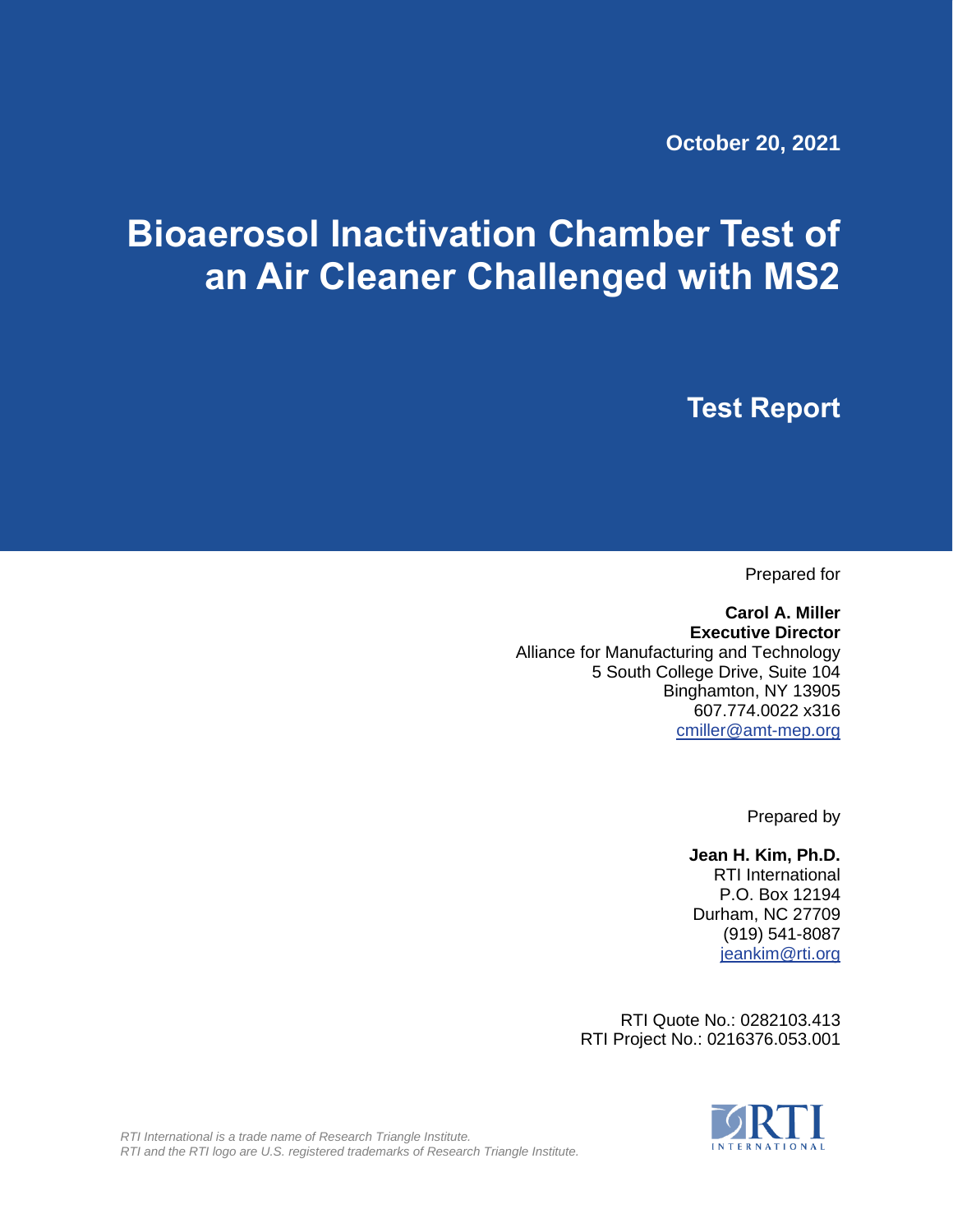**October 20, 2021**

# **Bioaerosol Inactivation Chamber Test of an Air Cleaner Challenged with MS2**

**Test Report**

Prepared for

**Carol A. Miller Executive Director** Alliance for Manufacturing and Technology 5 South College Drive, Suite 104 Binghamton, NY 13905 607.774.0022 x316 [cmiller@amt-mep.org](mailto:cmiller@amt-mep.org)

Prepared by

**Jean H. Kim, Ph.D.** RTI International P.O. Box 12194 Durham, NC 27709 (919) 541-8087 [jeankim@rti.org](mailto:jeankim@rti.org)

RTI Quote No.: 0282103.413 RTI Project No.: 0216376.053.001



*RTI International is a trade name of Research Triangle Institute. RTI and the RTI logo are U.S. registered trademarks of Research Triangle Institute.*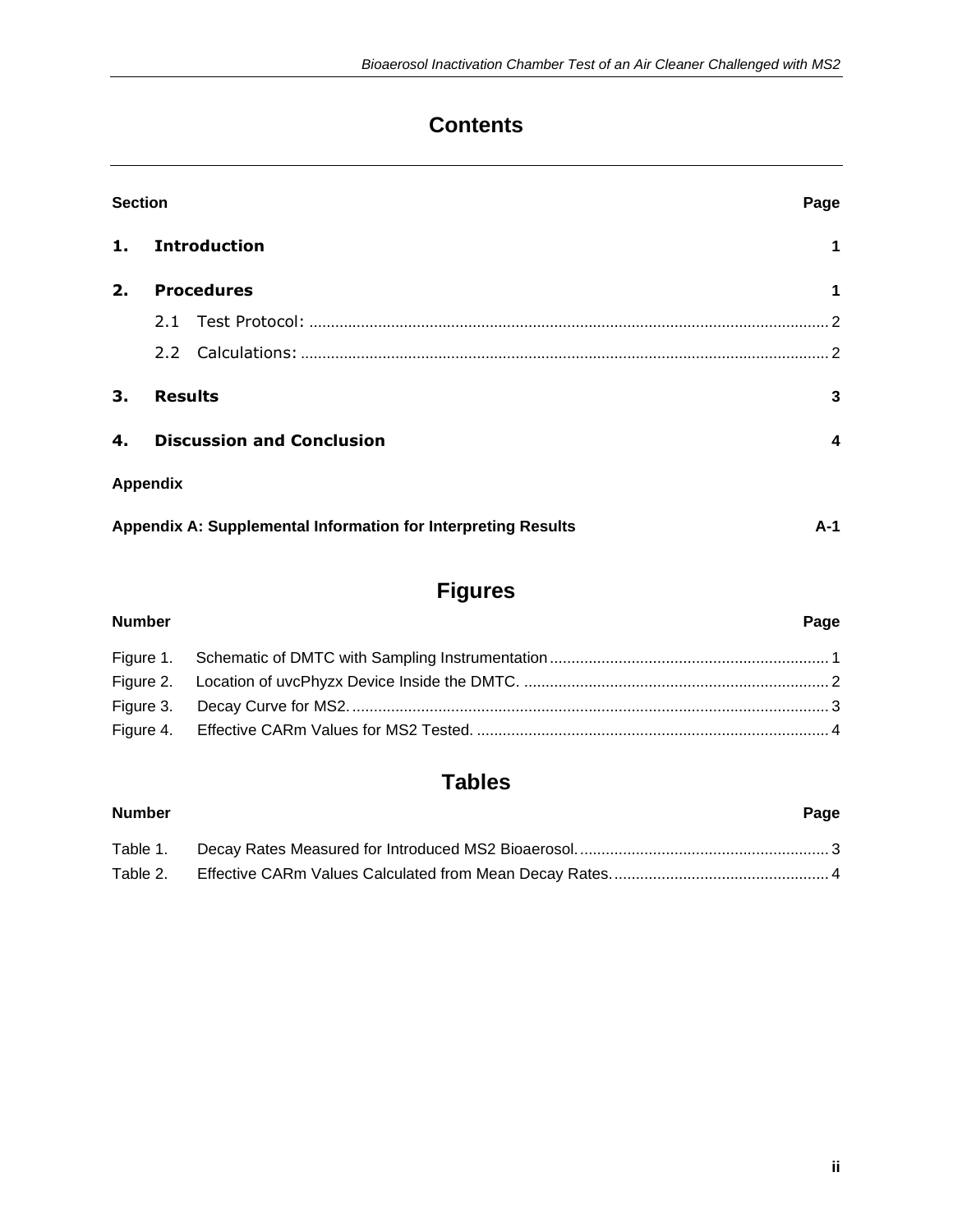# **Contents**

| <b>Section</b> |                                                               |       |  |  |
|----------------|---------------------------------------------------------------|-------|--|--|
| 1.             | <b>Introduction</b>                                           | 1     |  |  |
| 2.             | <b>Procedures</b>                                             | 1     |  |  |
|                |                                                               |       |  |  |
|                | $2.2^{\circ}$                                                 |       |  |  |
| 3.             | <b>Results</b>                                                | 3     |  |  |
| 4.             | <b>Discussion and Conclusion</b>                              | 4     |  |  |
|                | <b>Appendix</b>                                               |       |  |  |
|                | Appendix A: Supplemental Information for Interpreting Results | $A-1$ |  |  |

# **Figures**

| <b>Number</b> | Page |
|---------------|------|
|               |      |
|               |      |
|               |      |
|               |      |

# **Tables**

## **Number Page** Table 1. Decay Rates Measured for Introduced MS2 Bioaerosol........................................................... 3 Table 2. Effective CARm Values Calculated from Mean Decay Rates................................................... 4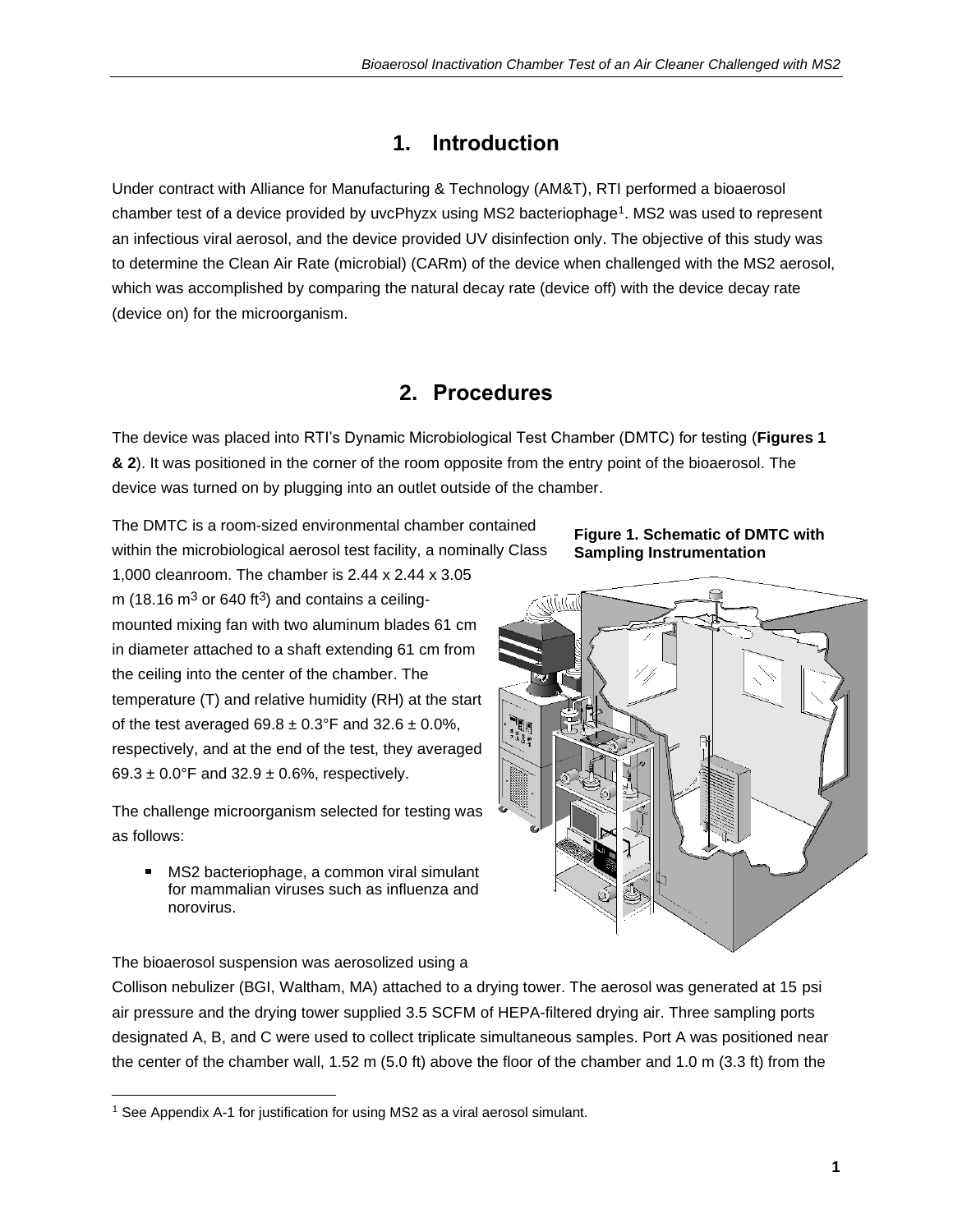## <span id="page-2-0"></span>**1. Introduction**

Under contract with Alliance for Manufacturing & Technology (AM&T), RTI performed a bioaerosol chamber test of a device provided by uvcPhyzx using MS2 bacteriophage<sup>1</sup>. MS2 was used to represent an infectious viral aerosol, and the device provided UV disinfection only. The objective of this study was to determine the Clean Air Rate (microbial) (CARm) of the device when challenged with the MS2 aerosol, which was accomplished by comparing the natural decay rate (device off) with the device decay rate (device on) for the microorganism.

## **2. Procedures**

<span id="page-2-1"></span>The device was placed into RTI's Dynamic Microbiological Test Chamber (DMTC) for testing (**Figures 1 & 2**). It was positioned in the corner of the room opposite from the entry point of the bioaerosol. The device was turned on by plugging into an outlet outside of the chamber.

The DMTC is a room-sized environmental chamber contained within the microbiological aerosol test facility, a nominally Class

1,000 cleanroom. The chamber is 2.44 x 2.44 x 3.05 m (18.16  $\text{m}^3$  or 640 ft<sup>3</sup>) and contains a ceilingmounted mixing fan with two aluminum blades 61 cm in diameter attached to a shaft extending 61 cm from the ceiling into the center of the chamber. The temperature (T) and relative humidity (RH) at the start of the test averaged  $69.8 \pm 0.3$ °F and  $32.6 \pm 0.0$ %, respectively, and at the end of the test, they averaged 69.3  $\pm$  0.0°F and 32.9  $\pm$  0.6%, respectively.

The challenge microorganism selected for testing was as follows:

■ MS2 bacteriophage, a common viral simulant for mammalian viruses such as influenza and norovirus.





#### The bioaerosol suspension was aerosolized using a

Collison nebulizer (BGI, Waltham, MA) attached to a drying tower. The aerosol was generated at 15 psi air pressure and the drying tower supplied 3.5 SCFM of HEPA-filtered drying air. Three sampling ports designated A, B, and C were used to collect triplicate simultaneous samples. Port A was positioned near the center of the chamber wall, 1.52 m (5.0 ft) above the floor of the chamber and 1.0 m (3.3 ft) from the

 $1$  See Appendix A-1 for justification for using MS2 as a viral aerosol simulant.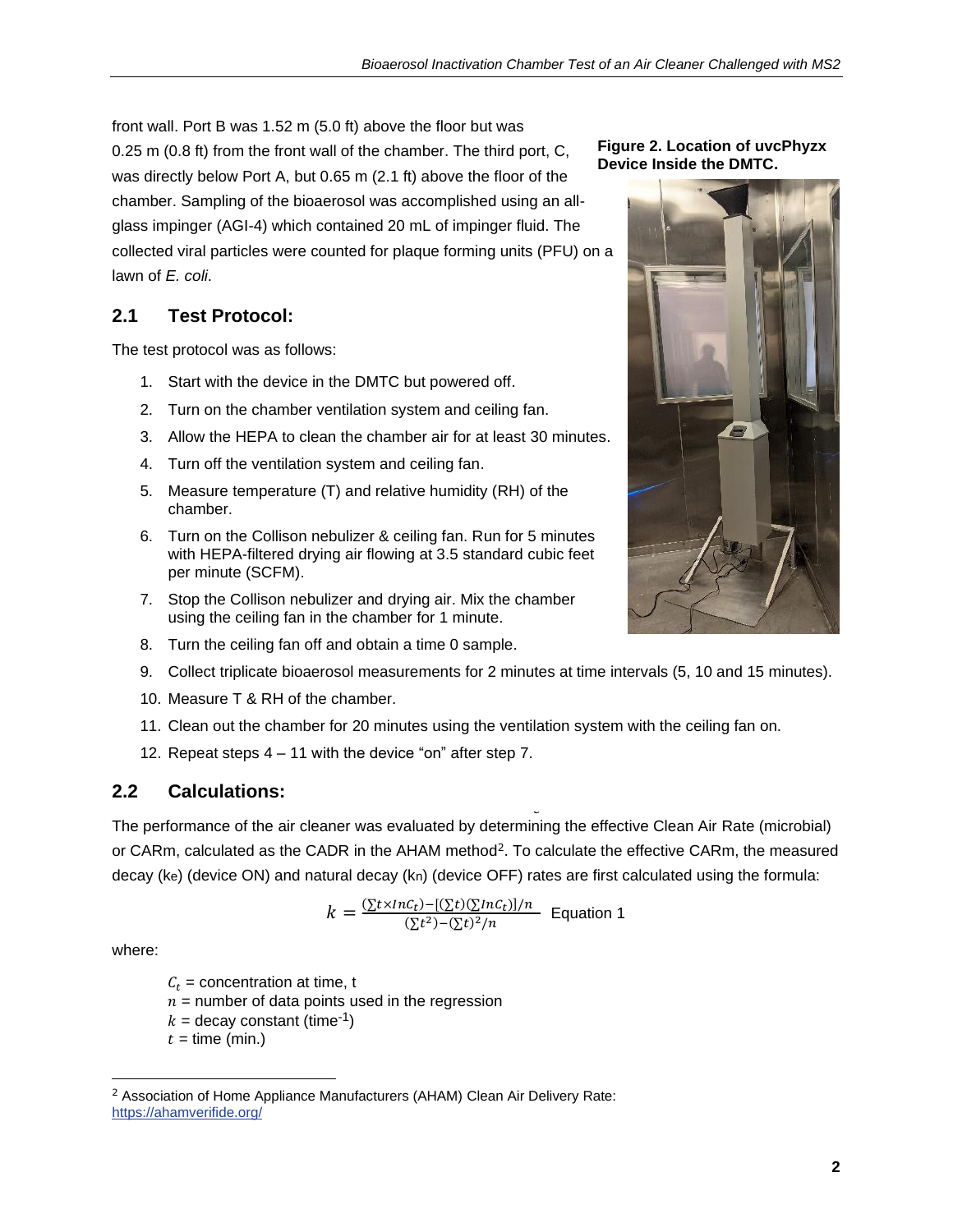front wall. Port B was 1.52 m (5.0 ft) above the floor but was 0.25 m (0.8 ft) from the front wall of the chamber. The third port, C, was directly below Port A, but 0.65 m (2.1 ft) above the floor of the chamber. Sampling of the bioaerosol was accomplished using an allglass impinger (AGI-4) which contained 20 mL of impinger fluid. The collected viral particles were counted for plaque forming units (PFU) on a lawn of *E. coli*.

## <span id="page-3-0"></span>**2.1 Test Protocol:**

The test protocol was as follows:

- 1. Start with the device in the DMTC but powered off.
- 2. Turn on the chamber ventilation system and ceiling fan.
- 3. Allow the HEPA to clean the chamber air for at least 30 minutes.
- 4. Turn off the ventilation system and ceiling fan.
- 5. Measure temperature (T) and relative humidity (RH) of the chamber.
- 6. Turn on the Collison nebulizer & ceiling fan. Run for 5 minutes with HEPA-filtered drying air flowing at 3.5 standard cubic feet per minute (SCFM).
- 7. Stop the Collison nebulizer and drying air. Mix the chamber using the ceiling fan in the chamber for 1 minute.
- 8. Turn the ceiling fan off and obtain a time 0 sample.
- 9. Collect triplicate bioaerosol measurements for 2 minutes at time intervals (5, 10 and 15 minutes).
- 10. Measure T & RH of the chamber.
- 11. Clean out the chamber for 20 minutes using the ventilation system with the ceiling fan on. (
- 12. Repeat steps 4 11 with the device "on" after step 7.

## <span id="page-3-1"></span>**2.2 Calculations:**

The performance of the air cleaner was evaluated by determining the effective Clean Air Rate (microbial) or CARm, calculated as the CADR in the AHAM method<sup>2</sup>. To calculate the effective CARm, the measured decay (ke) (device ON) and natural decay (kn) (device OFF) rates are first calculated using the formula: J

$$
k = \frac{\frac{\sum t \times \ln c_t - \frac{\sum t}{\sum n} \frac{c_t}{n}}{\sum t^2 - \frac{\sum t}{n}^2/n}}{\sum t^2 - \frac{\sum t}{n}^2/n}
$$
 Equation 1

where:

 $C_t$  = concentration at time, t  $n =$  number of data points used in the regression  $k =$  decay constant (time<sup>-1</sup>)  $t =$  time (min.)





<sup>&</sup>lt;sup>2</sup> Association of Home Appliance Manufacturers (AHAM) Clean Air Delivery Rate: <https://ahamverifide.org/>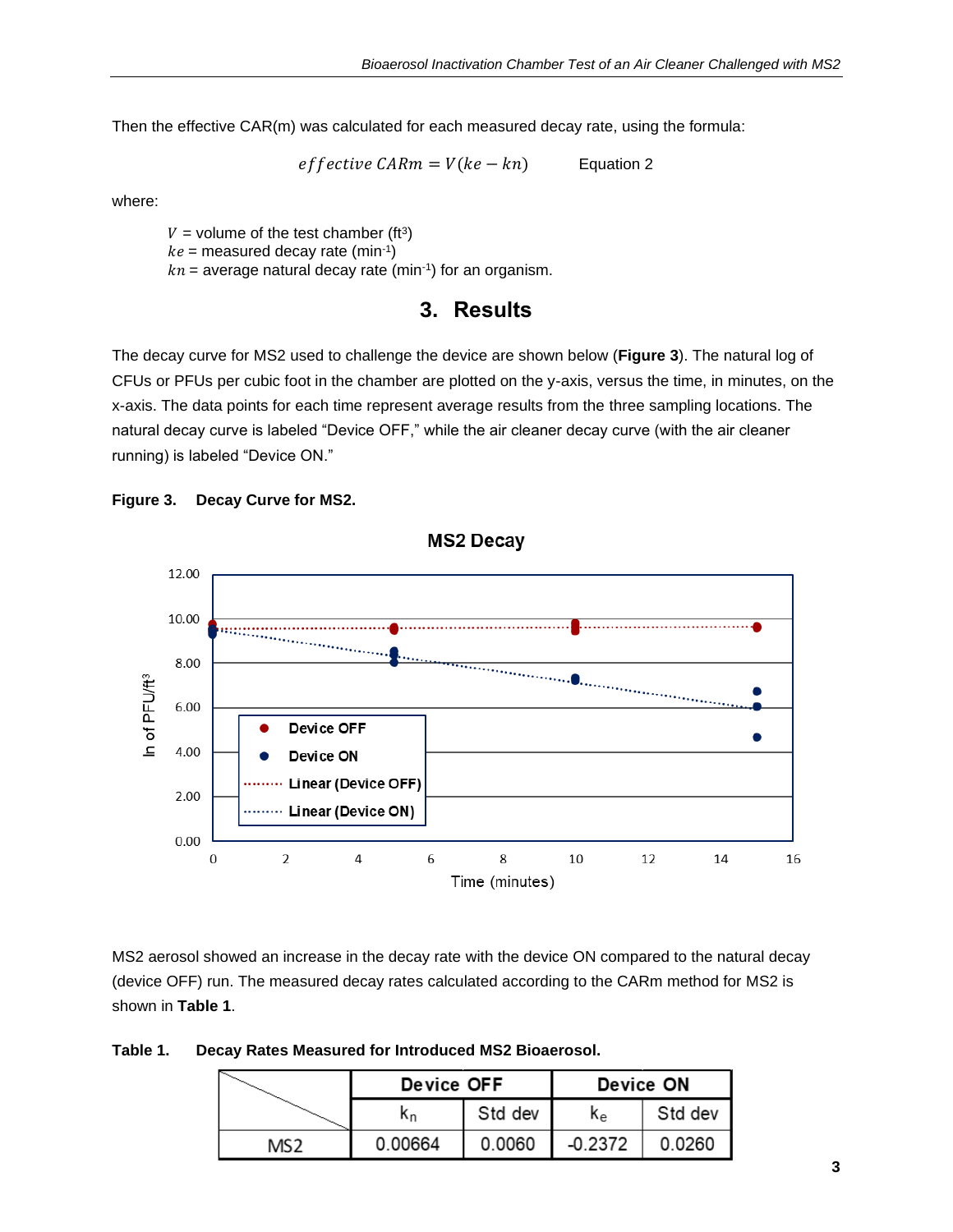Then the effective CAR(m) was calculated for each measured decay rate, using the formula:

 $effective\ CARM = V(ke - kn)$  Equation 2

where:

 $V =$  volume of the test chamber (ft<sup>3</sup>)  $ke =$  measured decay rate (min-1)  $kn =$  average natural decay rate (min-1) for an organism.

#### **3. Results**

<span id="page-4-0"></span>The decay curve for MS2 used to challenge the device are shown below (**Figure 3**). The natural log of CFUs or PFUs per cubic foot in the chamber are plotted on the y-axis, versus the time, in minutes, on the x-axis. The data points for each time represent average results from the three sampling locations. The natural decay curve is labeled "Device OFF," while the air cleaner decay curve (with the air cleaner running) is labeled "Device ON."





**MS2 Decay** 

MS2 aerosol showed an increase in the decay rate with the device ON compared to the natural decay (device OFF) run. The measured decay rates calculated according to the CARm method for MS2 is shown in **Table 1**.

| Table 1. |  |  |  | Decay Rates Measured for Introduced MS2 Bioaerosol. |
|----------|--|--|--|-----------------------------------------------------|
|          |  |  |  |                                                     |

|      | Device OFF |         | Device ON |         |  |
|------|------------|---------|-----------|---------|--|
|      | К'n,       | Std dev | Κe        | Std dev |  |
| MS 2 | 0.00664    | 0.0060  | $-0.2372$ | 0.0260  |  |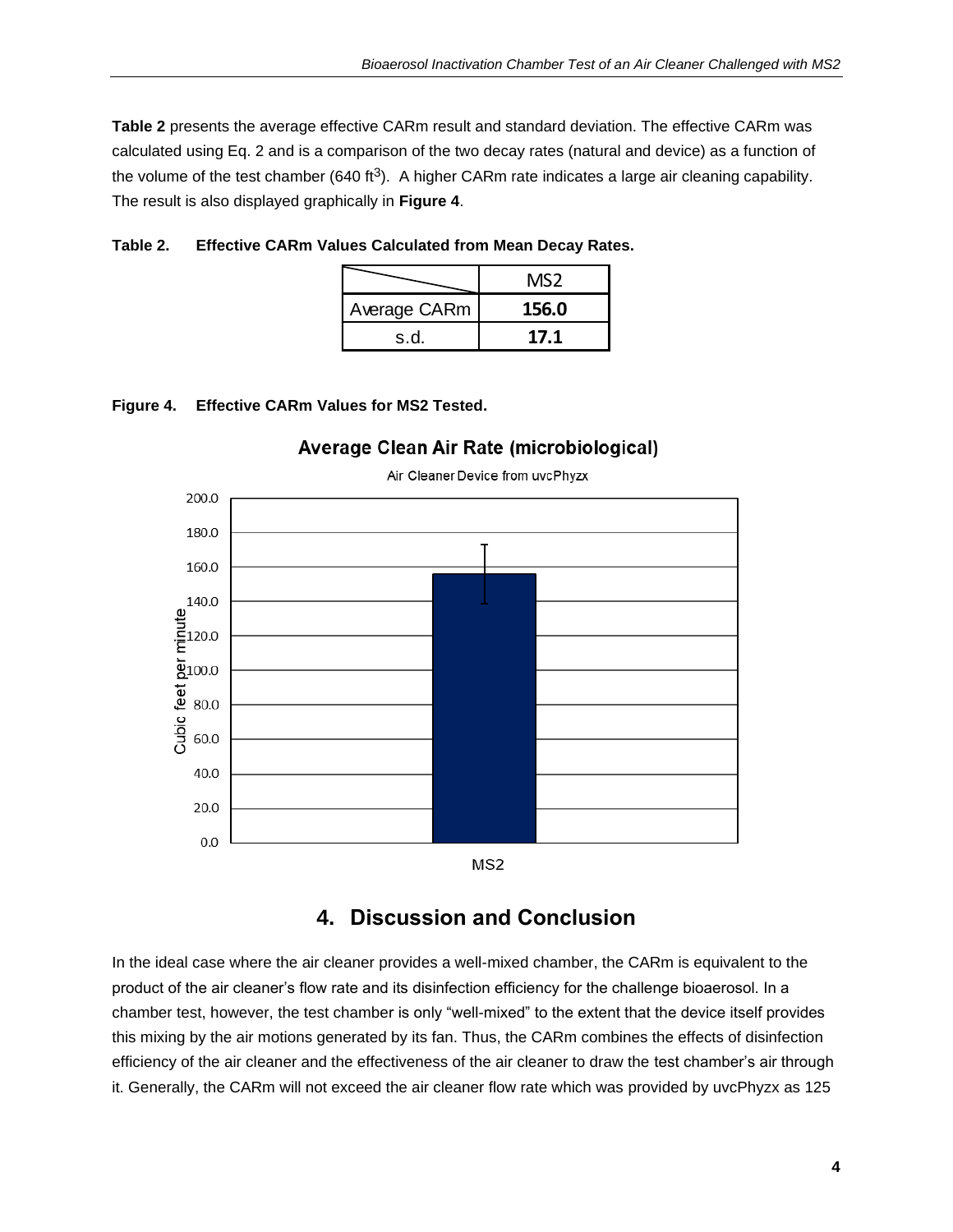**Table 2** presents the average effective CARm result and standard deviation. The effective CARm was calculated using Eq. 2 and is a comparison of the two decay rates (natural and device) as a function of the volume of the test chamber (640 ft<sup>3</sup>). A higher CARm rate indicates a large air cleaning capability. The result is also displayed graphically in **Figure 4**.

|              | MS2   |
|--------------|-------|
| Average CARm | 156.0 |
| s.d.         | 17.1  |

| Table 2. | <b>Effective CARm Values Calculated from Mean Decay Rates.</b> |  |  |
|----------|----------------------------------------------------------------|--|--|
|          |                                                                |  |  |

#### **Figure 4. Effective CARm Values for MS2 Tested.**



#### Average Clean Air Rate (microbiological)

Air Cleaner Device from uvcPhyzx

## **4. Discussion and Conclusion**

<span id="page-5-0"></span>In the ideal case where the air cleaner provides a well-mixed chamber, the CARm is equivalent to the product of the air cleaner's flow rate and its disinfection efficiency for the challenge bioaerosol. In a chamber test, however, the test chamber is only "well-mixed" to the extent that the device itself provides this mixing by the air motions generated by its fan. Thus, the CARm combines the effects of disinfection efficiency of the air cleaner and the effectiveness of the air cleaner to draw the test chamber's air through it. Generally, the CARm will not exceed the air cleaner flow rate which was provided by uvcPhyzx as 125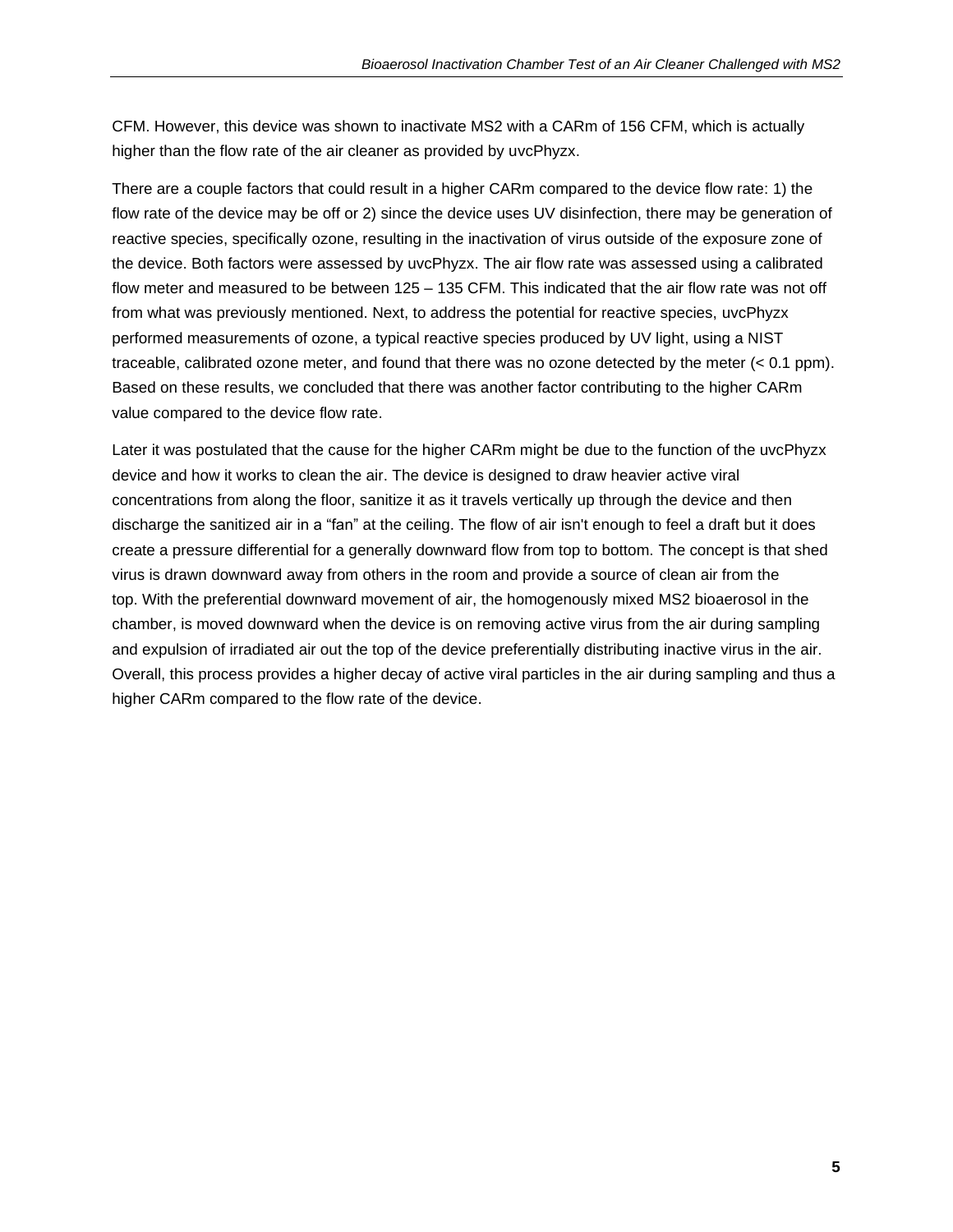CFM. However, this device was shown to inactivate MS2 with a CARm of 156 CFM, which is actually higher than the flow rate of the air cleaner as provided by uvcPhyzx.

There are a couple factors that could result in a higher CARm compared to the device flow rate: 1) the flow rate of the device may be off or 2) since the device uses UV disinfection, there may be generation of reactive species, specifically ozone, resulting in the inactivation of virus outside of the exposure zone of the device. Both factors were assessed by uvcPhyzx. The air flow rate was assessed using a calibrated flow meter and measured to be between 125 – 135 CFM. This indicated that the air flow rate was not off from what was previously mentioned. Next, to address the potential for reactive species, uvcPhyzx performed measurements of ozone, a typical reactive species produced by UV light, using a NIST traceable, calibrated ozone meter, and found that there was no ozone detected by the meter (< 0.1 ppm). Based on these results, we concluded that there was another factor contributing to the higher CARm value compared to the device flow rate.

Later it was postulated that the cause for the higher CARm might be due to the function of the uvcPhyzx device and how it works to clean the air. The device is designed to draw heavier active viral concentrations from along the floor, sanitize it as it travels vertically up through the device and then discharge the sanitized air in a "fan" at the ceiling. The flow of air isn't enough to feel a draft but it does create a pressure differential for a generally downward flow from top to bottom. The concept is that shed virus is drawn downward away from others in the room and provide a source of clean air from the top. With the preferential downward movement of air, the homogenously mixed MS2 bioaerosol in the chamber, is moved downward when the device is on removing active virus from the air during sampling and expulsion of irradiated air out the top of the device preferentially distributing inactive virus in the air. Overall, this process provides a higher decay of active viral particles in the air during sampling and thus a higher CARm compared to the flow rate of the device.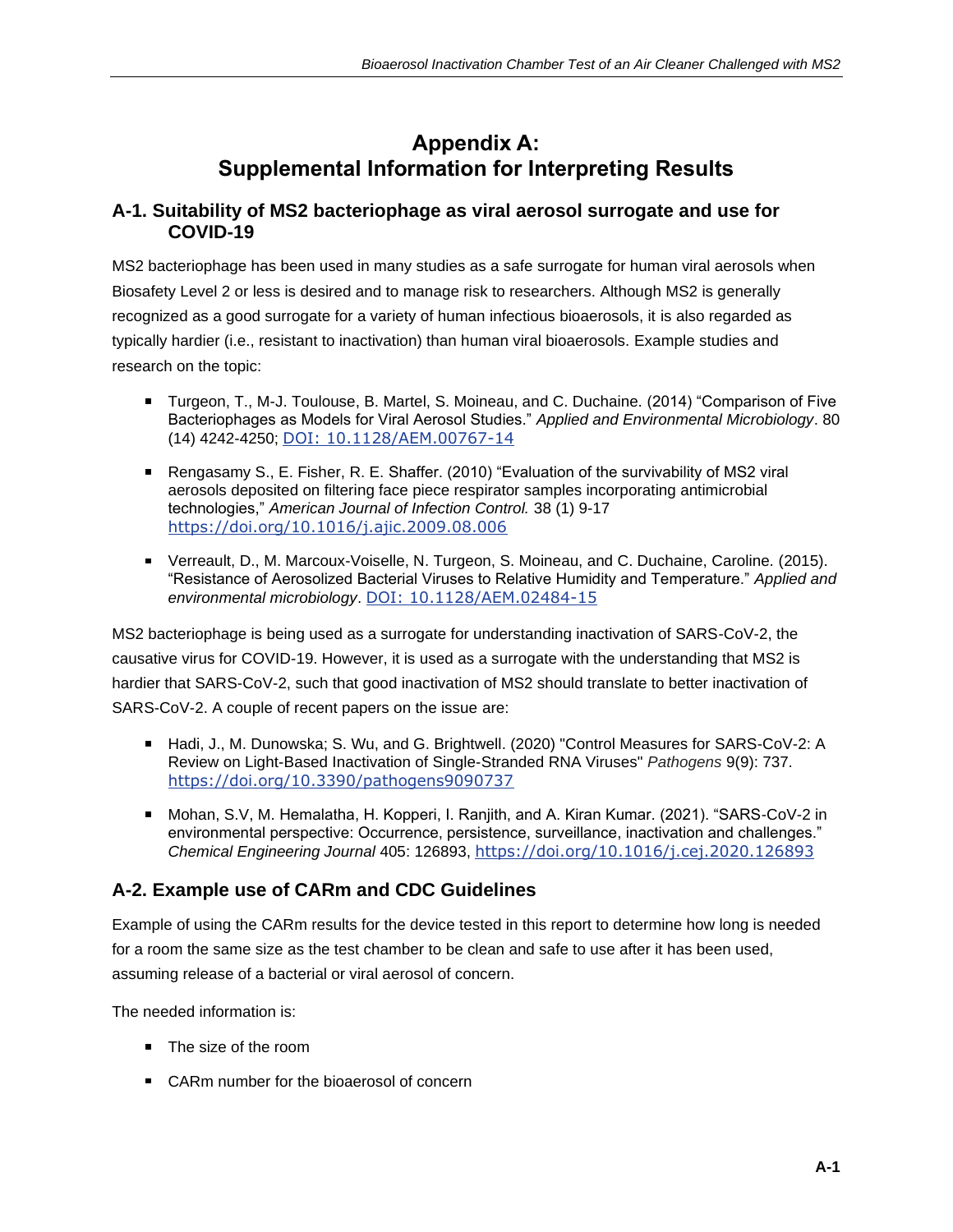# **Appendix A: Supplemental Information for Interpreting Results**

#### **A-1. Suitability of MS2 bacteriophage as viral aerosol surrogate and use for COVID-19**

MS2 bacteriophage has been used in many studies as a safe surrogate for human viral aerosols when Biosafety Level 2 or less is desired and to manage risk to researchers. Although MS2 is generally recognized as a good surrogate for a variety of human infectious bioaerosols, it is also regarded as typically hardier (i.e., resistant to inactivation) than human viral bioaerosols. Example studies and research on the topic:

- Turgeon, T., M-J. Toulouse, B. Martel, S. Moineau, and C. Duchaine. (2014) "Comparison of Five Bacteriophages as Models for Viral Aerosol Studies." *Applied and Environmental Microbiology*. 80 (14) 4242-4250; [DOI: 10.1128/AEM.00767-14](https://aem.asm.org/content/80/14/4242.short)
- Rengasamy S., E. Fisher, R. E. Shaffer. (2010) "Evaluation of the survivability of MS2 viral aerosols deposited on filtering face piece respirator samples incorporating antimicrobial technologies," *American Journal of Infection Control.* 38 (1) 9-17 <https://doi.org/10.1016/j.ajic.2009.08.006>
- Verreault, D., M. Marcoux-Voiselle, N. Turgeon, S. Moineau, and C. Duchaine, Caroline. (2015). "Resistance of Aerosolized Bacterial Viruses to Relative Humidity and Temperature." *Applied and environmental microbiology*. [DOI: 10.1128/AEM.02484-15](http://dx.doi.org/10.1128/AEM.02484-15)

MS2 bacteriophage is being used as a surrogate for understanding inactivation of SARS-CoV-2, the causative virus for COVID-19. However, it is used as a surrogate with the understanding that MS2 is hardier that SARS-CoV-2, such that good inactivation of MS2 should translate to better inactivation of SARS-CoV-2. A couple of recent papers on the issue are:

- Hadi, J., M. Dunowska; S. Wu, and G. Brightwell. (2020) "Control Measures for SARS-CoV-2: A Review on Light-Based Inactivation of Single-Stranded RNA Viruses" *Pathogens* 9(9): 737. <https://doi.org/10.3390/pathogens9090737>
- Mohan, S.V, M. Hemalatha, H. Kopperi, I. Ranjith, and A. Kiran Kumar. (2021). "SARS-CoV-2 in environmental perspective: Occurrence, persistence, surveillance, inactivation and challenges." *Chemical Engineering Journal* 405: 126893, <https://doi.org/10.1016/j.cej.2020.126893>

## **A-2. Example use of CARm and CDC Guidelines**

Example of using the CARm results for the device tested in this report to determine how long is needed for a room the same size as the test chamber to be clean and safe to use after it has been used, assuming release of a bacterial or viral aerosol of concern.

The needed information is:

- The size of the room
- CARm number for the bioaerosol of concern